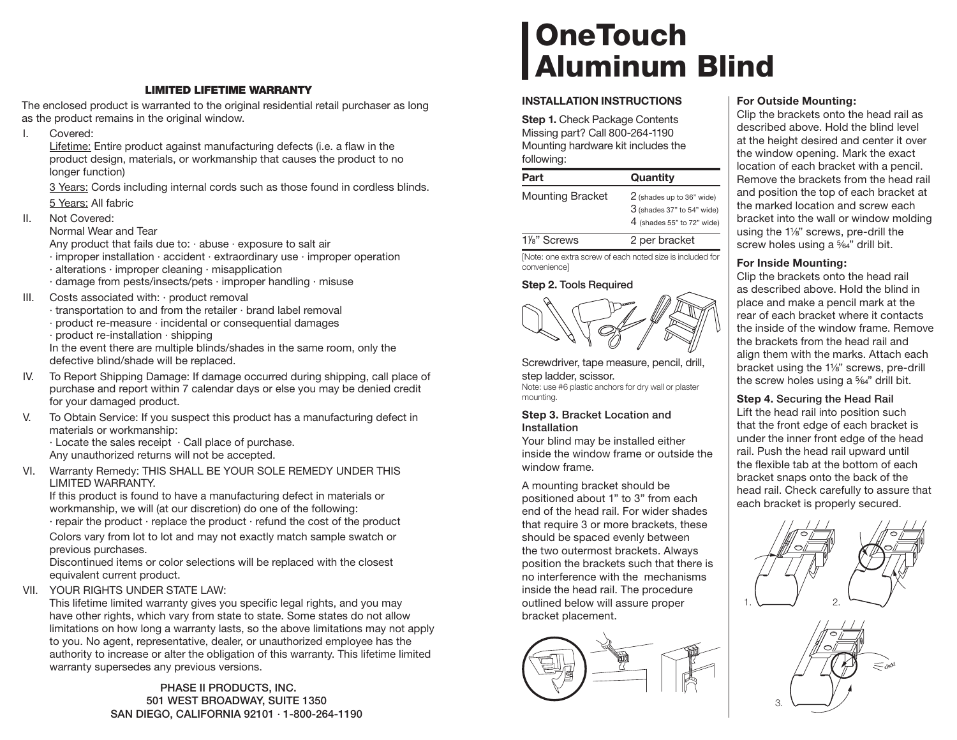## **LIMITED LIFETIME WARRANTY**

The enclosed product is warranted to the original residential retail purchaser as long as the product remains in the original window.

I. Covered:

Lifetime: Entire product against manufacturing defects (i.e. a flaw in the product design, materials, or workmanship that causes the product to no longer function)

 3 Years: Cords including internal cords such as those found in cordless blinds. 5 Years: All fabric

II. Not Covered:

Normal Wear and Tear

Any product that fails due to:  $\cdot$  abuse  $\cdot$  exposure to salt air

- · improper installation · accident · extraordinary use · improper operation
- · alterations · improper cleaning · misapplication
- · damage from pests/insects/pets · improper handling · misuse
- III. Costs associated with: · product removal
	- · transportation to and from the retailer · brand label removal
	- · product re-measure · incidental or consequential damages
	- · product re-installation · shipping

In the event there are multiple blinds/shades in the same room, only the defective blind/shade will be replaced.

- IV. To Report Shipping Damage: If damage occurred during shipping, call place of purchase and report within 7 calendar days or else you may be denied credit for your damaged product.
- V. To Obtain Service: If you suspect this product has a manufacturing defect in materials or workmanship:

· Locate the sales receipt · Call place of purchase. Any unauthorized returns will not be accepted.

VI. Warranty Remedy: THIS SHALL BE YOUR SOLE REMEDY UNDER THIS LIMITED WARRANTY.

If this product is found to have a manufacturing defect in materials or workmanship, we will (at our discretion) do one of the following: · repair the product · replace the product · refund the cost of the product

 Colors vary from lot to lot and may not exactly match sample swatch or previous purchases.

Discontinued items or color selections will be replaced with the closest equivalent current product.

VII. YOUR RIGHTS UNDER STATE LAW:

This lifetime limited warranty gives you specific legal rights, and you may have other rights, which vary from state to state. Some states do not allow limitations on how long a warranty lasts, so the above limitations may not apply to you. No agent, representative, dealer, or unauthorized employee has the authority to increase or alter the obligation of this warranty. This lifetime limited warranty supersedes any previous versions.

> **PHASE II PRODUCTS, INC. 501 WEST BROADWAY, SUITE 1350 SAN DIEGO, CALIFORNIA 92101 · 1-800-264-1190**

# **OneTouch Aluminum Blind**

## **INSTALLATION INSTRUCTIONS**

**Step 1.** Check Package Contents Missing part? Call 800-264-1190 Mounting hardware kit includes the following:

| Part                     | Quantity                                                                                  |
|--------------------------|-------------------------------------------------------------------------------------------|
| <b>Mounting Bracket</b>  | 2 (shades up to 36" wide)<br>$3$ (shades 37" to 54" wide)<br>$4$ (shades 55" to 72" wide) |
| 1 <sup>/8</sup> " Screws | 2 per bracket                                                                             |

[Note: one extra screw of each noted size is included for convenience]

## **Step 2. Tools Required**



Screwdriver, tape measure, pencil, drill, step ladder, scissor. Note: use #6 plastic anchors for dry wall or plaster mounting.

### **Step 3. Bracket Location and Installation**

Your blind may be installed either inside the window frame or outside the window frame.

A mounting bracket should be positioned about 1" to 3" from each end of the head rail. For wider shades that require 3 or more brackets, these should be spaced evenly between the two outermost brackets. Always position the brackets such that there is no interference with the mechanisms inside the head rail. The procedure outlined below will assure proper bracket placement.



## **For Outside Mounting:**

Clip the brackets onto the head rail as described above. Hold the blind level at the height desired and center it over the window opening. Mark the exact location of each bracket with a pencil. Remove the brackets from the head rail and position the top of each bracket at the marked location and screw each bracket into the wall or window molding using the 1<sup>1/8"</sup> screws, pre-drill the screw holes using a <sup>5</sup>%<sup>2</sup>" drill bit.

# **For Inside Mounting:**

Clip the brackets onto the head rail as described above. Hold the blind in place and make a pencil mark at the rear of each bracket where it contacts the inside of the window frame. Remove the brackets from the head rail and align them with the marks. Attach each bracket using the 1<sup>1/8"</sup> screws, pre-drill the screw holes using a  $\frac{5}{64}$ " drill bit.

# **Step 4. Securing the Head Rail**

Lift the head rail into position such that the front edge of each bracket is under the inner front edge of the head rail. Push the head rail upward until the flexible tab at the bottom of each bracket snaps onto the back of the head rail. Check carefully to assure that each bracket is properly secured.